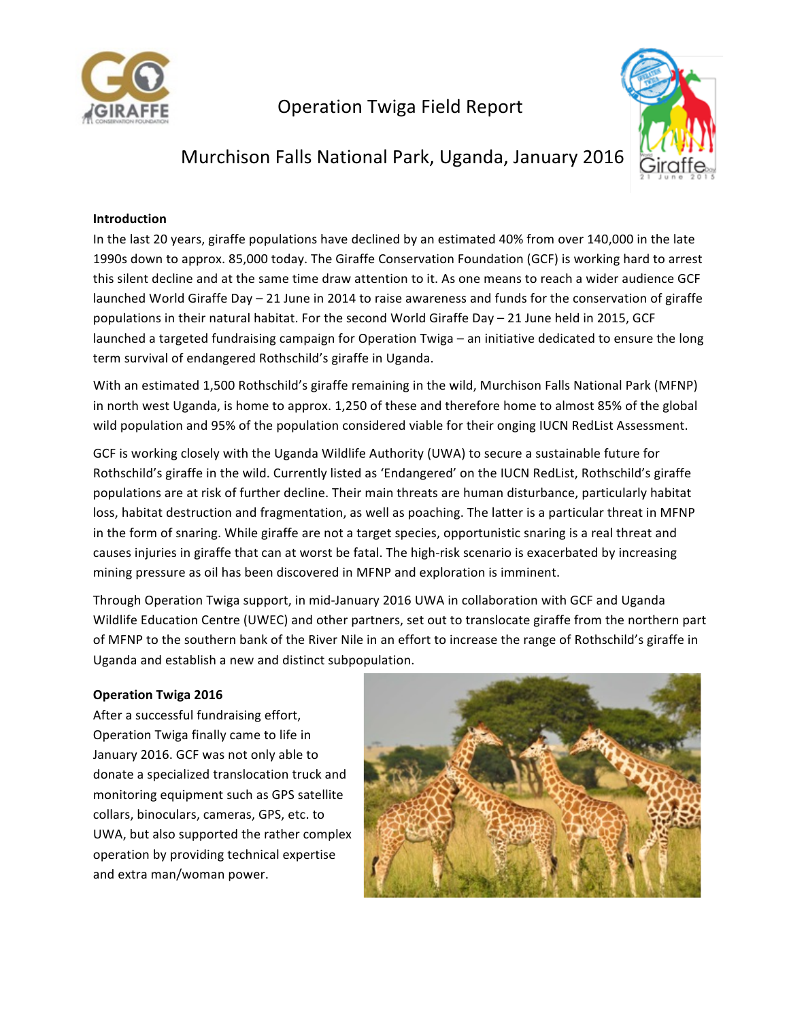

# Operation Twiga Field Report



# Murchison Falls National Park, Uganda, January 2016

## **Introduction**

In the last 20 years, giraffe populations have declined by an estimated 40% from over 140,000 in the late 1990s down to approx. 85,000 today. The Giraffe Conservation Foundation (GCF) is working hard to arrest this silent decline and at the same time draw attention to it. As one means to reach a wider audience GCF launched World Giraffe Day – 21 June in 2014 to raise awareness and funds for the conservation of giraffe populations in their natural habitat. For the second World Giraffe Day  $-$  21 June held in 2015, GCF launched a targeted fundraising campaign for Operation Twiga – an initiative dedicated to ensure the long term survival of endangered Rothschild's giraffe in Uganda.

With an estimated 1,500 Rothschild's giraffe remaining in the wild, Murchison Falls National Park (MFNP) in north west Uganda, is home to approx. 1,250 of these and therefore home to almost 85% of the global wild population and 95% of the population considered viable for their onging IUCN RedList Assessment.

GCF is working closely with the Uganda Wildlife Authority (UWA) to secure a sustainable future for Rothschild's giraffe in the wild. Currently listed as 'Endangered' on the IUCN RedList, Rothschild's giraffe populations are at risk of further decline. Their main threats are human disturbance, particularly habitat loss, habitat destruction and fragmentation, as well as poaching. The latter is a particular threat in MFNP in the form of snaring. While giraffe are not a target species, opportunistic snaring is a real threat and causes injuries in giraffe that can at worst be fatal. The high-risk scenario is exacerbated by increasing mining pressure as oil has been discovered in MFNP and exploration is imminent.

Through Operation Twiga support, in mid-January 2016 UWA in collaboration with GCF and Uganda Wildlife Education Centre (UWEC) and other partners, set out to translocate giraffe from the northern part of MFNP to the southern bank of the River Nile in an effort to increase the range of Rothschild's giraffe in Uganda and establish a new and distinct subpopulation.

#### **Operation Twiga 2016**

After a successful fundraising effort, Operation Twiga finally came to life in January 2016. GCF was not only able to donate a specialized translocation truck and monitoring equipment such as GPS satellite collars, binoculars, cameras, GPS, etc. to UWA, but also supported the rather complex operation by providing technical expertise and extra man/woman power.

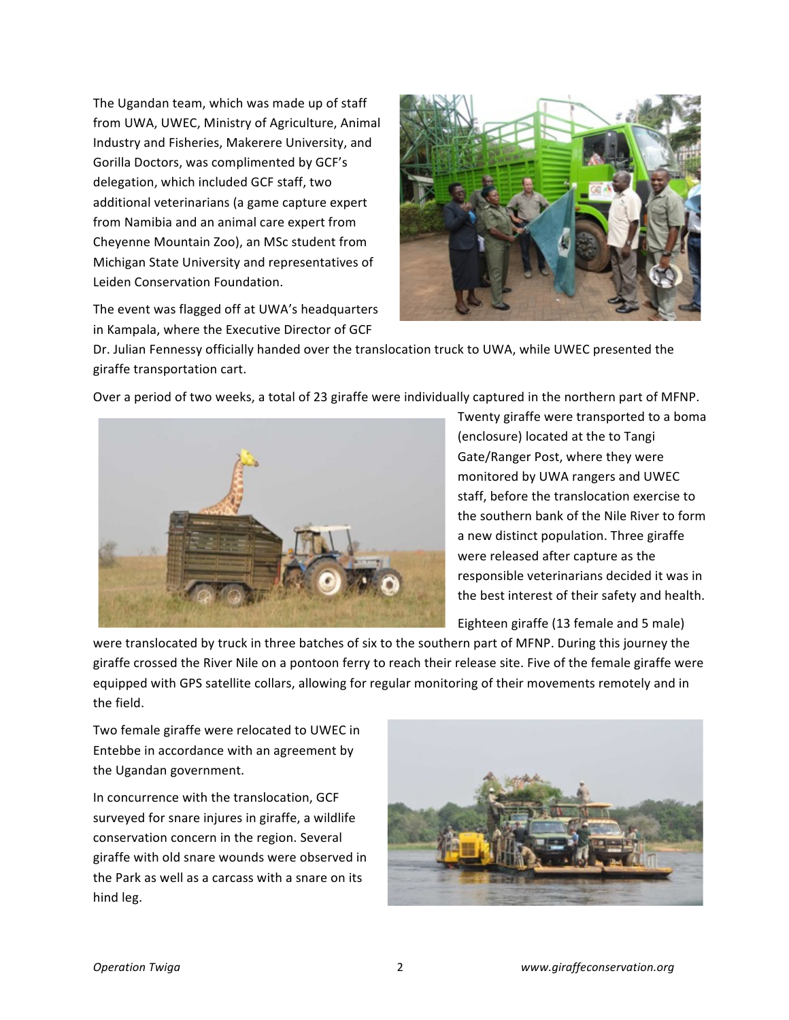The Ugandan team, which was made up of staff from UWA, UWEC, Ministry of Agriculture, Animal Industry and Fisheries, Makerere University, and Gorilla Doctors, was complimented by GCF's delegation, which included GCF staff, two additional veterinarians (a game capture expert from Namibia and an animal care expert from Cheyenne Mountain Zoo), an MSc student from Michigan State University and representatives of Leiden Conservation Foundation.

The event was flagged off at UWA's headquarters in Kampala, where the Executive Director of GCF



Dr. Julian Fennessy officially handed over the translocation truck to UWA, while UWEC presented the giraffe transportation cart.

Over a period of two weeks, a total of 23 giraffe were individually captured in the northern part of MFNP.



Twenty giraffe were transported to a boma (enclosure) located at the to Tangi Gate/Ranger Post, where they were monitored by UWA rangers and UWEC staff, before the translocation exercise to the southern bank of the Nile River to form a new distinct population. Three giraffe were released after capture as the responsible veterinarians decided it was in the best interest of their safety and health.

Eighteen giraffe (13 female and 5 male)

were translocated by truck in three batches of six to the southern part of MFNP. During this journey the giraffe crossed the River Nile on a pontoon ferry to reach their release site. Five of the female giraffe were equipped with GPS satellite collars, allowing for regular monitoring of their movements remotely and in the field.

Two female giraffe were relocated to UWEC in Entebbe in accordance with an agreement by the Ugandan government.

In concurrence with the translocation, GCF surveyed for snare injures in giraffe, a wildlife conservation concern in the region. Several giraffe with old snare wounds were observed in the Park as well as a carcass with a snare on its hind leg.

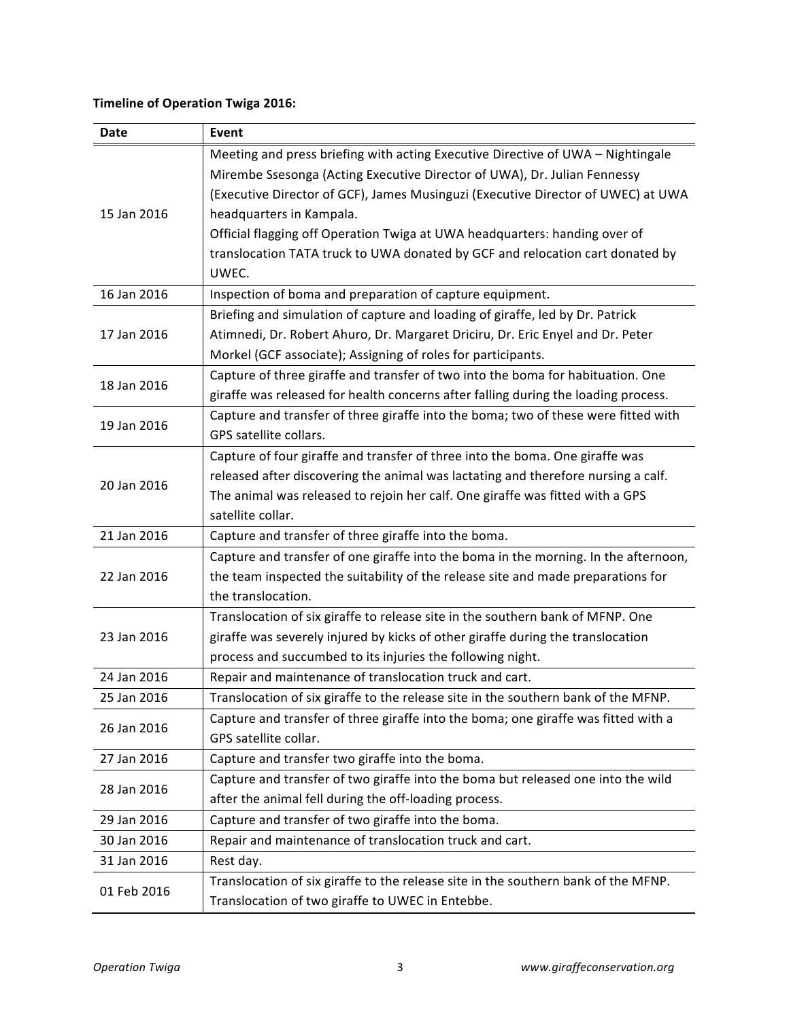# **Timeline of Operation Twiga 2016:**

| Date        | Event                                                                               |  |
|-------------|-------------------------------------------------------------------------------------|--|
| 15 Jan 2016 | Meeting and press briefing with acting Executive Directive of UWA - Nightingale     |  |
|             | Mirembe Ssesonga (Acting Executive Director of UWA), Dr. Julian Fennessy            |  |
|             | (Executive Director of GCF), James Musinguzi (Executive Director of UWEC) at UWA    |  |
|             | headquarters in Kampala.                                                            |  |
|             | Official flagging off Operation Twiga at UWA headquarters: handing over of          |  |
|             | translocation TATA truck to UWA donated by GCF and relocation cart donated by       |  |
|             | UWEC.                                                                               |  |
| 16 Jan 2016 | Inspection of boma and preparation of capture equipment.                            |  |
| 17 Jan 2016 | Briefing and simulation of capture and loading of giraffe, led by Dr. Patrick       |  |
|             | Atimnedi, Dr. Robert Ahuro, Dr. Margaret Driciru, Dr. Eric Enyel and Dr. Peter      |  |
|             | Morkel (GCF associate); Assigning of roles for participants.                        |  |
| 18 Jan 2016 | Capture of three giraffe and transfer of two into the boma for habituation. One     |  |
|             | giraffe was released for health concerns after falling during the loading process.  |  |
| 19 Jan 2016 | Capture and transfer of three giraffe into the boma; two of these were fitted with  |  |
|             | GPS satellite collars.                                                              |  |
|             | Capture of four giraffe and transfer of three into the boma. One giraffe was        |  |
|             | released after discovering the animal was lactating and therefore nursing a calf.   |  |
| 20 Jan 2016 | The animal was released to rejoin her calf. One giraffe was fitted with a GPS       |  |
|             | satellite collar.                                                                   |  |
| 21 Jan 2016 | Capture and transfer of three giraffe into the boma.                                |  |
| 22 Jan 2016 | Capture and transfer of one giraffe into the boma in the morning. In the afternoon, |  |
|             | the team inspected the suitability of the release site and made preparations for    |  |
|             | the translocation.                                                                  |  |
| 23 Jan 2016 | Translocation of six giraffe to release site in the southern bank of MFNP. One      |  |
|             | giraffe was severely injured by kicks of other giraffe during the translocation     |  |
|             | process and succumbed to its injuries the following night.                          |  |
| 24 Jan 2016 | Repair and maintenance of translocation truck and cart.                             |  |
| 25 Jan 2016 | Translocation of six giraffe to the release site in the southern bank of the MFNP.  |  |
| 26 Jan 2016 | Capture and transfer of three giraffe into the boma; one giraffe was fitted with a  |  |
|             | GPS satellite collar.                                                               |  |
| 27 Jan 2016 | Capture and transfer two giraffe into the boma.                                     |  |
| 28 Jan 2016 | Capture and transfer of two giraffe into the boma but released one into the wild    |  |
|             | after the animal fell during the off-loading process.                               |  |
| 29 Jan 2016 | Capture and transfer of two giraffe into the boma.                                  |  |
| 30 Jan 2016 | Repair and maintenance of translocation truck and cart.                             |  |
| 31 Jan 2016 | Rest day.                                                                           |  |
| 01 Feb 2016 | Translocation of six giraffe to the release site in the southern bank of the MFNP.  |  |
|             | Translocation of two giraffe to UWEC in Entebbe.                                    |  |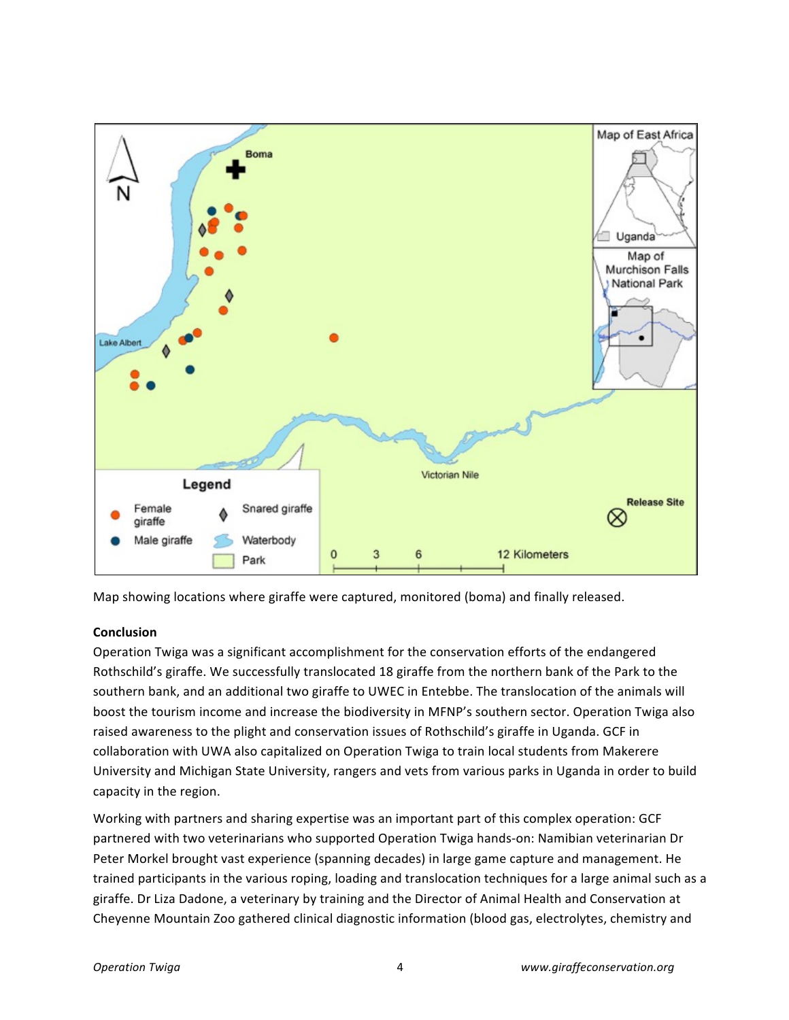

Map showing locations where giraffe were captured, monitored (boma) and finally released.

## **Conclusion**

Operation Twiga was a significant accomplishment for the conservation efforts of the endangered Rothschild's giraffe. We successfully translocated 18 giraffe from the northern bank of the Park to the southern bank, and an additional two giraffe to UWEC in Entebbe. The translocation of the animals will boost the tourism income and increase the biodiversity in MFNP's southern sector. Operation Twiga also raised awareness to the plight and conservation issues of Rothschild's giraffe in Uganda. GCF in collaboration with UWA also capitalized on Operation Twiga to train local students from Makerere University and Michigan State University, rangers and vets from various parks in Uganda in order to build capacity in the region.

Working with partners and sharing expertise was an important part of this complex operation: GCF partnered with two veterinarians who supported Operation Twiga hands-on: Namibian veterinarian Dr Peter Morkel brought vast experience (spanning decades) in large game capture and management. He trained participants in the various roping, loading and translocation techniques for a large animal such as a giraffe. Dr Liza Dadone, a veterinary by training and the Director of Animal Health and Conservation at Cheyenne Mountain Zoo gathered clinical diagnostic information (blood gas, electrolytes, chemistry and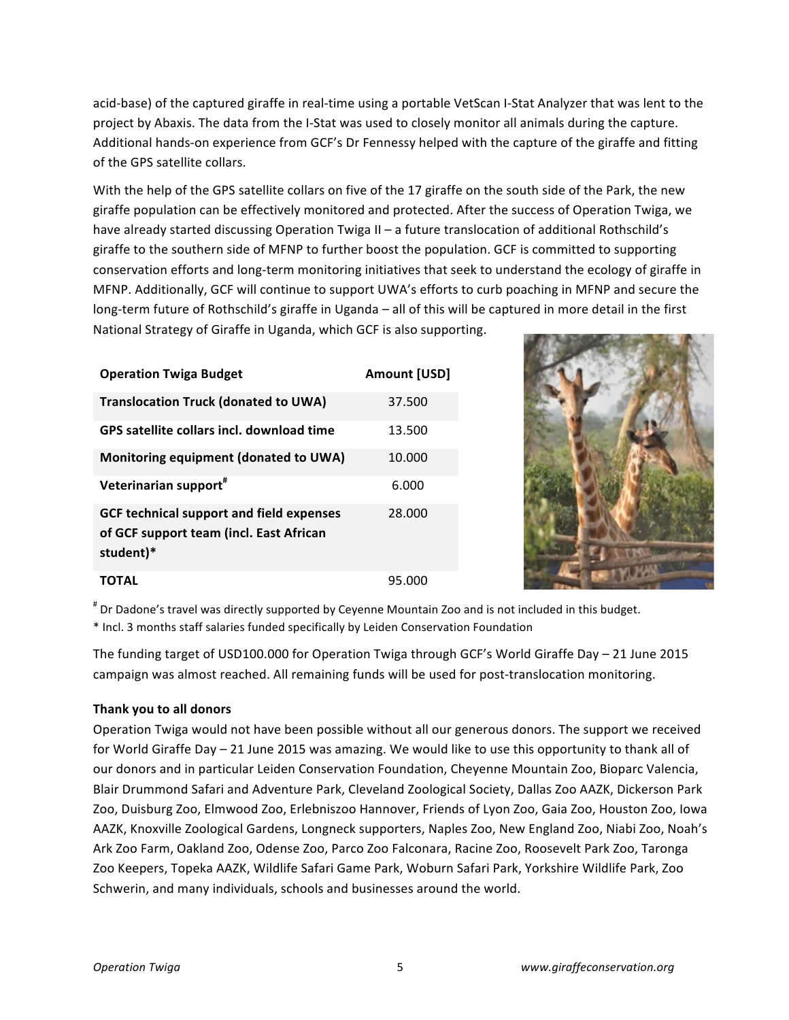acid-base) of the captured giraffe in real-time using a portable VetScan I-Stat Analyzer that was lent to the project by Abaxis. The data from the I-Stat was used to closely monitor all animals during the capture. Additional hands-on experience from GCF's Dr Fennessy helped with the capture of the giraffe and fitting of the GPS satellite collars.

With the help of the GPS satellite collars on five of the 17 giraffe on the south side of the Park, the new giraffe population can be effectively monitored and protected. After the success of Operation Twiga, we have already started discussing Operation Twiga II – a future translocation of additional Rothschild's giraffe to the southern side of MFNP to further boost the population. GCF is committed to supporting conservation efforts and long-term monitoring initiatives that seek to understand the ecology of giraffe in MFNP. Additionally, GCF will continue to support UWA's efforts to curb poaching in MFNP and secure the long-term future of Rothschild's giraffe in Uganda – all of this will be captured in more detail in the first National Strategy of Giraffe in Uganda, which GCF is also supporting.

| <b>Operation Twiga Budget</b>                                                                           | <b>Amount [USD]</b> |
|---------------------------------------------------------------------------------------------------------|---------------------|
| <b>Translocation Truck (donated to UWA)</b>                                                             | 37.500              |
| <b>GPS satellite collars incl. download time</b>                                                        | 13.500              |
| Monitoring equipment (donated to UWA)                                                                   | 10.000              |
| Veterinarian support <sup>#</sup>                                                                       | 6.000               |
| <b>GCF technical support and field expenses</b><br>of GCF support team (incl. East African<br>student)* | 28,000              |
| TOTAL                                                                                                   | 95.000              |



# Dr Dadone's travel was directly supported by Ceyenne Mountain Zoo and is not included in this budget.

\* Incl. 3 months staff salaries funded specifically by Leiden Conservation Foundation

The funding target of USD100.000 for Operation Twiga through GCF's World Giraffe Day - 21 June 2015 campaign was almost reached. All remaining funds will be used for post-translocation monitoring.

## **Thank you to all donors**

Operation Twiga would not have been possible without all our generous donors. The support we received for World Giraffe Day – 21 June 2015 was amazing. We would like to use this opportunity to thank all of our donors and in particular Leiden Conservation Foundation, Cheyenne Mountain Zoo, Bioparc Valencia, Blair Drummond Safari and Adventure Park, Cleveland Zoological Society, Dallas Zoo AAZK, Dickerson Park Zoo, Duisburg Zoo, Elmwood Zoo, Erlebniszoo Hannover, Friends of Lyon Zoo, Gaia Zoo, Houston Zoo, Iowa AAZK, Knoxville Zoological Gardens, Longneck supporters, Naples Zoo, New England Zoo, Niabi Zoo, Noah's Ark Zoo Farm, Oakland Zoo, Odense Zoo, Parco Zoo Falconara, Racine Zoo, Roosevelt Park Zoo, Taronga Zoo Keepers, Topeka AAZK, Wildlife Safari Game Park, Woburn Safari Park, Yorkshire Wildlife Park, Zoo Schwerin, and many individuals, schools and businesses around the world.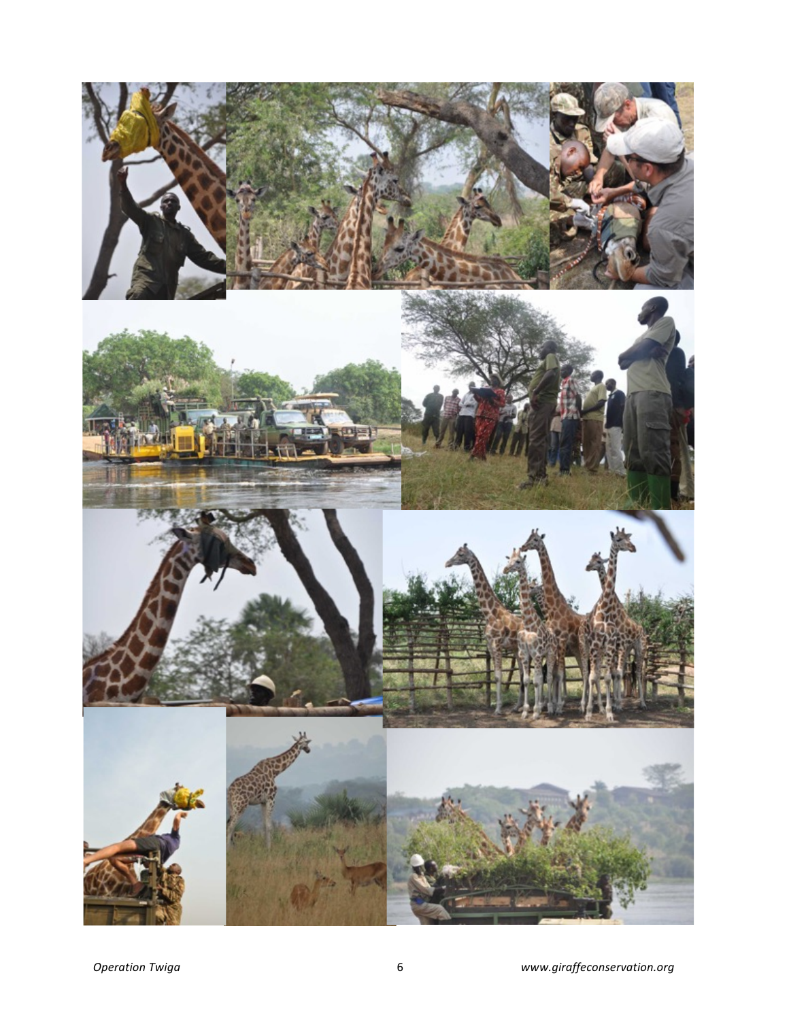